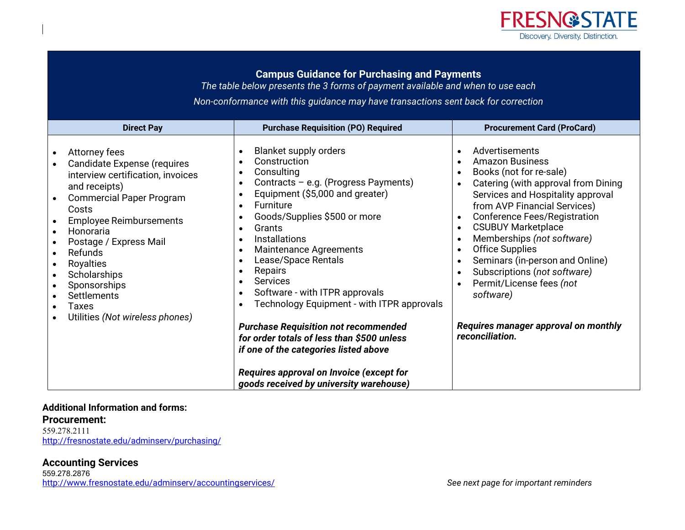

# **Campus Guidance for Purchasing and Payments**

*The table below presents the 3 forms of payment available and when to use each* 

*Non-conformance with this guidance may have transactions sent back for correction* 

| <b>Direct Pay</b>                                                                                                                                                                                                                                                                                                                                              | <b>Purchase Requisition (PO) Required</b>                                                                                                                                                                                                                                                                                                                                                                                                                                                                                                                                                                                                                                                                                                                                                                           | <b>Procurement Card (ProCard)</b>                                                                                                                                                                                                                                                                                                                                                                                                                                                                                                                                             |
|----------------------------------------------------------------------------------------------------------------------------------------------------------------------------------------------------------------------------------------------------------------------------------------------------------------------------------------------------------------|---------------------------------------------------------------------------------------------------------------------------------------------------------------------------------------------------------------------------------------------------------------------------------------------------------------------------------------------------------------------------------------------------------------------------------------------------------------------------------------------------------------------------------------------------------------------------------------------------------------------------------------------------------------------------------------------------------------------------------------------------------------------------------------------------------------------|-------------------------------------------------------------------------------------------------------------------------------------------------------------------------------------------------------------------------------------------------------------------------------------------------------------------------------------------------------------------------------------------------------------------------------------------------------------------------------------------------------------------------------------------------------------------------------|
| Attorney fees<br><b>Candidate Expense (requires</b><br>interview certification, invoices<br>and receipts)<br><b>Commercial Paper Program</b><br>Costs<br><b>Employee Reimbursements</b><br>Honoraria<br>Postage / Express Mail<br>Refunds<br>Royalties<br>Scholarships<br>Sponsorships<br>Settlements<br>Taxes<br>$\bullet$<br>Utilities (Not wireless phones) | <b>Blanket supply orders</b><br>$\bullet$<br>Construction<br>$\bullet$<br>Consulting<br>$\bullet$<br>Contracts - e.g. (Progress Payments)<br>$\bullet$<br>Equipment (\$5,000 and greater)<br>$\bullet$<br>Furniture<br>$\bullet$<br>Goods/Supplies \$500 or more<br>$\bullet$<br>Grants<br>$\bullet$<br>Installations<br>$\bullet$<br><b>Maintenance Agreements</b><br>$\bullet$<br>Lease/Space Rentals<br>$\bullet$<br>Repairs<br>$\bullet$<br><b>Services</b><br>$\bullet$<br>Software - with ITPR approvals<br>$\bullet$<br>Technology Equipment - with ITPR approvals<br>$\bullet$<br><b>Purchase Requisition not recommended</b><br>for order totals of less than \$500 unless<br>if one of the categories listed above<br>Requires approval on Invoice (except for<br>goods received by university warehouse) | Advertisements<br><b>Amazon Business</b><br>$\bullet$<br>Books (not for re-sale)<br>$\bullet$<br>Catering (with approval from Dining<br>$\bullet$<br>Services and Hospitality approval<br>from AVP Financial Services)<br><b>Conference Fees/Registration</b><br><b>CSUBUY Marketplace</b><br>$\bullet$<br>Memberships (not software)<br><b>Office Supplies</b><br>$\bullet$<br>Seminars (in-person and Online)<br>$\bullet$<br>Subscriptions (not software)<br>$\bullet$<br>Permit/License fees (not<br>software)<br>Requires manager approval on monthly<br>reconciliation. |

#### **Additional Information and forms:**

**Procurement:**  559.278.2111

http://fresnostate.edu/adminserv/purchasing/

#### **Accounting Services**